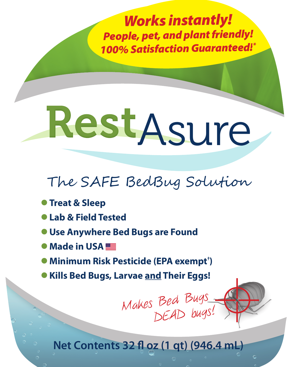*Works instantly! People, pet, and plant friendly! 100% Satisfaction Guaranteed!\**

# RestAsure

### The SAFE BedBug Solution

- **Treat & Sleep**
- z **Lab & Field Tested**
- **Use Anywhere Bed Bugs are Found**
- **Made in USA**
- z **Minimum Risk Pesticide (EPA exempt† )**
- z **Kills Bed Bugs, Larvae and Their Eggs!** nd Their Eggs!<br>Bed Bugs<br>DEAD bugs!

**Net Contents 32 fl oz (1 qt) (946.4 mL)**

Makes Bed Bugs